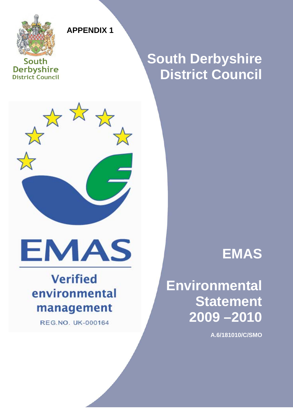

**APPENDIX 1** 

**South Derbyshire District Council** 

## **South Derbyshire District Council**



# **EMAS**

## **Verified** environmental management

**REG.NO. UK-000164** 

## **EMAS**

## **Environmental Statement 2009 –2010**

January 2009 ver 1.0 **Page 1 of 50** 

**A.6/181010/C/SMO**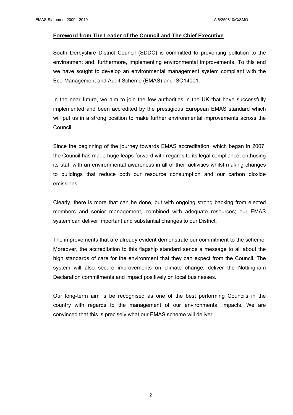#### **Foreword from The Leader of the Council and The Chief Executive**

 $\mathcal{L}_\mathcal{L} = \{ \mathcal{L}_\mathcal{L} = \{ \mathcal{L}_\mathcal{L} = \{ \mathcal{L}_\mathcal{L} = \{ \mathcal{L}_\mathcal{L} = \{ \mathcal{L}_\mathcal{L} = \{ \mathcal{L}_\mathcal{L} = \{ \mathcal{L}_\mathcal{L} = \{ \mathcal{L}_\mathcal{L} = \{ \mathcal{L}_\mathcal{L} = \{ \mathcal{L}_\mathcal{L} = \{ \mathcal{L}_\mathcal{L} = \{ \mathcal{L}_\mathcal{L} = \{ \mathcal{L}_\mathcal{L} = \{ \mathcal{L}_\mathcal{$ 

South Derbyshire District Council (SDDC) is committed to preventing pollution to the environment and, furthermore, implementing environmental improvements. To this end we have sought to develop an environmental management system compliant with the Eco-Management and Audit Scheme (EMAS) and ISO14001.

In the near future, we aim to join the few authorities in the UK that have successfully implemented and been accredited by the prestigious European EMAS standard which will put us in a strong position to make further environmental improvements across the Council.

Since the beginning of the journey towards EMAS accreditation, which began in 2007, the Council has made huge leaps forward with regards to its legal compliance, enthusing its staff with an environmental awareness in all of their activities whilst making changes to buildings that reduce both our resource consumption and our carbon dioxide emissions.

Clearly, there is more that can be done, but with ongoing strong backing from elected members and senior management, combined with adequate resources; our EMAS system can deliver important and substantial changes to our District.

The improvements that are already evident demonstrate our commitment to the scheme. Moreover, the accreditation to this flagship standard sends a message to all about the high standards of care for the environment that they can expect from the Council. The system will also secure improvements on climate change, deliver the Nottingham Declaration commitments and impact positively on local businesses.

Our long-term aim is be recognised as one of the best performing Councils in the country with regards to the management of our environmental impacts. We are convinced that this is precisely what our EMAS scheme will deliver.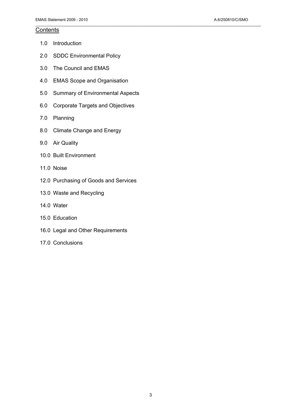#### **Contents**

- 1.0 Introduction
- 2.0 SDDC Environmental Policy
- 3.0 The Council and EMAS
- 4.0 EMAS Scope and Organisation
- 5.0 Summary of Environmental Aspects

 $\mathcal{L}_\mathcal{L} = \{ \mathcal{L}_\mathcal{L} = \{ \mathcal{L}_\mathcal{L} = \{ \mathcal{L}_\mathcal{L} = \{ \mathcal{L}_\mathcal{L} = \{ \mathcal{L}_\mathcal{L} = \{ \mathcal{L}_\mathcal{L} = \{ \mathcal{L}_\mathcal{L} = \{ \mathcal{L}_\mathcal{L} = \{ \mathcal{L}_\mathcal{L} = \{ \mathcal{L}_\mathcal{L} = \{ \mathcal{L}_\mathcal{L} = \{ \mathcal{L}_\mathcal{L} = \{ \mathcal{L}_\mathcal{L} = \{ \mathcal{L}_\mathcal{$ 

- 6.0 Corporate Targets and Objectives
- 7.0 Planning
- 8.0 Climate Change and Energy
- 9.0 Air Quality
- 10.0 Built Environment
- 11.0 Noise
- 12.0 Purchasing of Goods and Services
- 13.0 Waste and Recycling
- 14.0 Water
- 15.0 Education
- 16.0 Legal and Other Requirements
- 17.0 Conclusions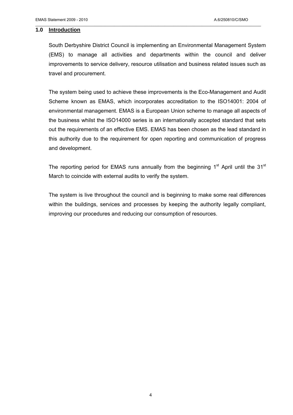#### **1.0 Introduction**

South Derbyshire District Council is implementing an Environmental Management System (EMS) to manage all activities and departments within the council and deliver improvements to service delivery, resource utilisation and business related issues such as travel and procurement.

 $\mathcal{L}_\mathcal{L} = \{ \mathcal{L}_\mathcal{L} = \{ \mathcal{L}_\mathcal{L} = \{ \mathcal{L}_\mathcal{L} = \{ \mathcal{L}_\mathcal{L} = \{ \mathcal{L}_\mathcal{L} = \{ \mathcal{L}_\mathcal{L} = \{ \mathcal{L}_\mathcal{L} = \{ \mathcal{L}_\mathcal{L} = \{ \mathcal{L}_\mathcal{L} = \{ \mathcal{L}_\mathcal{L} = \{ \mathcal{L}_\mathcal{L} = \{ \mathcal{L}_\mathcal{L} = \{ \mathcal{L}_\mathcal{L} = \{ \mathcal{L}_\mathcal{$ 

The system being used to achieve these improvements is the Eco-Management and Audit Scheme known as EMAS, which incorporates accreditation to the ISO14001: 2004 of environmental management. EMAS is a European Union scheme to manage all aspects of the business whilst the ISO14000 series is an internationally accepted standard that sets out the requirements of an effective EMS. EMAS has been chosen as the lead standard in this authority due to the requirement for open reporting and communication of progress and development.

The reporting period for EMAS runs annually from the beginning  $1<sup>st</sup>$  April until the  $31<sup>st</sup>$ March to coincide with external audits to verify the system.

The system is live throughout the council and is beginning to make some real differences within the buildings, services and processes by keeping the authority legally compliant, improving our procedures and reducing our consumption of resources.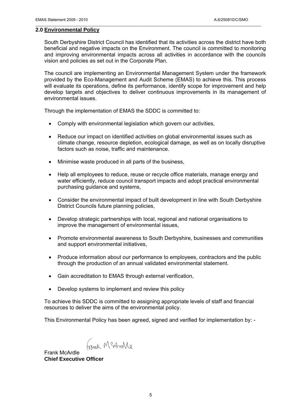#### **2.0 Environmental Policy**

South Derbyshire District Council has identified that its activities across the district have both beneficial and negative impacts on the Environment. The council is committed to monitoring and improving environmental impacts across all activities in accordance with the councils vision and policies as set out in the Corporate Plan.

 $\mathcal{L}_\mathcal{L} = \{ \mathcal{L}_\mathcal{L} = \{ \mathcal{L}_\mathcal{L} = \{ \mathcal{L}_\mathcal{L} = \{ \mathcal{L}_\mathcal{L} = \{ \mathcal{L}_\mathcal{L} = \{ \mathcal{L}_\mathcal{L} = \{ \mathcal{L}_\mathcal{L} = \{ \mathcal{L}_\mathcal{L} = \{ \mathcal{L}_\mathcal{L} = \{ \mathcal{L}_\mathcal{L} = \{ \mathcal{L}_\mathcal{L} = \{ \mathcal{L}_\mathcal{L} = \{ \mathcal{L}_\mathcal{L} = \{ \mathcal{L}_\mathcal{$ 

The council are implementing an Environmental Management System under the framework provided by the Eco-Management and Audit Scheme (EMAS) to achieve this. This process will evaluate its operations, define its performance, identify scope for improvement and help develop targets and objectives to deliver continuous improvements in its management of environmental issues.

Through the implementation of EMAS the SDDC is committed to:

- Comply with environmental legislation which govern our activities,
- Reduce our impact on identified activities on global environmental issues such as climate change, resource depletion, ecological damage, as well as on locally disruptive factors such as noise, traffic and maintenance.
- Minimise waste produced in all parts of the business,
- Help all employees to reduce, reuse or recycle office materials, manage energy and water efficiently, reduce council transport impacts and adopt practical environmental purchasing guidance and systems,
- Consider the environmental impact of built development in line with South Derbyshire District Councils future planning policies,
- Develop strategic partnerships with local, regional and national organisations to improve the management of environmental issues,
- Promote environmental awareness to South Derbyshire, businesses and communities and support environmental initiatives,
- Produce information about our performance to employees, contractors and the public through the production of an annual validated environmental statement.
- Gain accreditation to EMAS through external verification,
- Develop systems to implement and review this policy

To achieve this SDDC is committed to assigning appropriate levels of staff and financial resources to deliver the aims of the environmental policy.

This Environmental Policy has been agreed, signed and verified for implementation by: -

haink McArolle

Frank McArdle **Chief Executive Officer**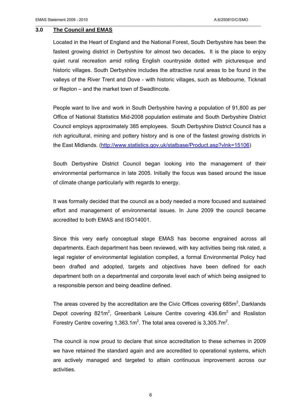#### **3.0 The Council and EMAS**

Located in the Heart of England and the National Forest, South Derbyshire has been the fastest growing district in Derbyshire for almost two decades**.** It is the place to enjoy quiet rural recreation amid rolling English countryside dotted with picturesque and historic villages. South Derbyshire includes the attractive rural areas to be found in the valleys of the River Trent and Dove - with historic villages, such as Melbourne, Ticknall or Repton – and the market town of Swadlincote.

 $\mathcal{L}_\mathcal{L} = \{ \mathcal{L}_\mathcal{L} = \{ \mathcal{L}_\mathcal{L} = \{ \mathcal{L}_\mathcal{L} = \{ \mathcal{L}_\mathcal{L} = \{ \mathcal{L}_\mathcal{L} = \{ \mathcal{L}_\mathcal{L} = \{ \mathcal{L}_\mathcal{L} = \{ \mathcal{L}_\mathcal{L} = \{ \mathcal{L}_\mathcal{L} = \{ \mathcal{L}_\mathcal{L} = \{ \mathcal{L}_\mathcal{L} = \{ \mathcal{L}_\mathcal{L} = \{ \mathcal{L}_\mathcal{L} = \{ \mathcal{L}_\mathcal{$ 

People want to live and work in South Derbyshire having a population of 91,800 as per Office of National Statistics Mid-2008 population estimate and South Derbyshire District Council employs approximately 385 employees. South Derbyshire District Council has a rich agricultural, mining and pottery history and is one of the fastest growing districts in the East Midlands. [\(http://www.statistics.gov.uk/statbase/Product.asp?vlnk=15106](http://www.statistics.gov.uk/statbase/Product.asp?vlnk=15106))

South Derbyshire District Council began looking into the management of their environmental performance in late 2005. Initially the focus was based around the issue of climate change particularly with regards to energy.

It was formally decided that the council as a body needed a more focused and sustained effort and management of environmental issues. In June 2009 the council became accredited to both EMAS and ISO14001.

Since this very early conceptual stage EMAS has become engrained across all departments. Each department has been reviewed, with key activities being risk rated, a legal register of environmental legislation compiled, a formal Environmental Policy had been drafted and adopted, targets and objectives have been defined for each department both on a departmental and corporate level each of which being assigned to a responsible person and being deadline defined.

The areas covered by the accreditation are the Civic Offices covering 685 $m^2$ , Darklands Depot covering 821 $m^2$ , Greenbank Leisure Centre covering 436.6 $m^2$  and Rosliston Forestry Centre covering 1,363.1m<sup>2</sup>. The total area covered is 3,305.7m<sup>2</sup>.

The council is now proud to declare that since accreditation to these schemes in 2009 we have retained the standard again and are accredited to operational systems, which are actively managed and targeted to attain continuous improvement across our activities.

6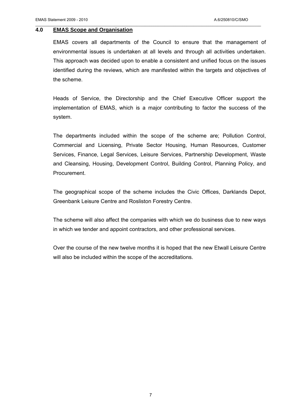#### **4.0 EMAS Scope and Organisation**

EMAS covers all departments of the Council to ensure that the management of environmental issues is undertaken at all levels and through all activities undertaken. This approach was decided upon to enable a consistent and unified focus on the issues identified during the reviews, which are manifested within the targets and objectives of the scheme.

 $\mathcal{L}_\mathcal{L} = \{ \mathcal{L}_\mathcal{L} = \{ \mathcal{L}_\mathcal{L} = \{ \mathcal{L}_\mathcal{L} = \{ \mathcal{L}_\mathcal{L} = \{ \mathcal{L}_\mathcal{L} = \{ \mathcal{L}_\mathcal{L} = \{ \mathcal{L}_\mathcal{L} = \{ \mathcal{L}_\mathcal{L} = \{ \mathcal{L}_\mathcal{L} = \{ \mathcal{L}_\mathcal{L} = \{ \mathcal{L}_\mathcal{L} = \{ \mathcal{L}_\mathcal{L} = \{ \mathcal{L}_\mathcal{L} = \{ \mathcal{L}_\mathcal{$ 

Heads of Service, the Directorship and the Chief Executive Officer support the implementation of EMAS, which is a major contributing to factor the success of the system.

The departments included within the scope of the scheme are; Pollution Control, Commercial and Licensing, Private Sector Housing, Human Resources, Customer Services, Finance, Legal Services, Leisure Services, Partnership Development, Waste and Cleansing, Housing, Development Control, Building Control, Planning Policy, and Procurement.

The geographical scope of the scheme includes the Civic Offices, Darklands Depot, Greenbank Leisure Centre and Rosliston Forestry Centre.

The scheme will also affect the companies with which we do business due to new ways in which we tender and appoint contractors, and other professional services.

Over the course of the new twelve months it is hoped that the new Etwall Leisure Centre will also be included within the scope of the accreditations.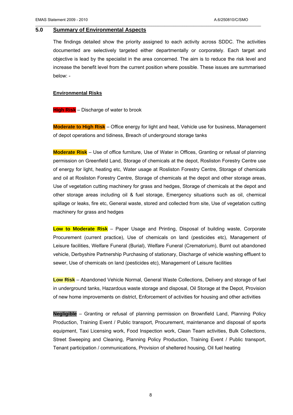#### **5.0 Summary of Environmental Aspects**

The findings detailed show the priority assigned to each activity across SDDC. The activities documented are selectively targeted either departmentally or corporately. Each target and objective is lead by the specialist in the area concerned. The aim is to reduce the risk level and increase the benefit level from the current position where possible. These issues are summarised below: -

 $\mathcal{L}_\mathcal{L} = \{ \mathcal{L}_\mathcal{L} = \{ \mathcal{L}_\mathcal{L} = \{ \mathcal{L}_\mathcal{L} = \{ \mathcal{L}_\mathcal{L} = \{ \mathcal{L}_\mathcal{L} = \{ \mathcal{L}_\mathcal{L} = \{ \mathcal{L}_\mathcal{L} = \{ \mathcal{L}_\mathcal{L} = \{ \mathcal{L}_\mathcal{L} = \{ \mathcal{L}_\mathcal{L} = \{ \mathcal{L}_\mathcal{L} = \{ \mathcal{L}_\mathcal{L} = \{ \mathcal{L}_\mathcal{L} = \{ \mathcal{L}_\mathcal{$ 

#### **Environmental Risks**

#### **High Risk** – Discharge of water to brook

**Moderate to High Risk** – Office energy for light and heat, Vehicle use for business, Management of depot operations and tidiness, Breach of underground storage tanks

**Moderate Risk** – Use of office furniture, Use of Water in Offices, Granting or refusal of planning permission on Greenfield Land, Storage of chemicals at the depot, Rosliston Forestry Centre use of energy for light, heating etc, Water usage at Rosliston Forestry Centre, Storage of chemicals and oil at Rosliston Forestry Centre, Storage of chemicals at the depot and other storage areas, Use of vegetation cutting machinery for grass and hedges, Storage of chemicals at the depot and other storage areas including oil & fuel storage, Emergency situations such as oil, chemical spillage or leaks, fire etc, General waste, stored and collected from site, Use of vegetation cutting machinery for grass and hedges

**Low to Moderate Risk** – Paper Usage and Printing, Disposal of building waste, Corporate Procurement (current practice), Use of chemicals on land (pesticides etc), Management of Leisure facilities, Welfare Funeral (Burial), Welfare Funeral (Crematorium), Burnt out abandoned vehicle, Derbyshire Partnership Purchasing of stationary, Discharge of vehicle washing effluent to sewer, Use of chemicals on land (pesticides etc), Management of Leisure facilities

**Low Risk** – Abandoned Vehicle Normal, General Waste Collections, Delivery and storage of fuel in underground tanks, Hazardous waste storage and disposal, Oil Storage at the Depot, Provision of new home improvements on district, Enforcement of activities for housing and other activities

**Negligible** – Granting or refusal of planning permission on Brownfield Land, Planning Policy Production, Training Event / Public transport, Procurement, maintenance and disposal of sports equipment, Taxi Licensing work, Food Inspection work, Clean Team activities, Bulk Collections, Street Sweeping and Cleaning, Planning Policy Production, Training Event / Public transport, Tenant participation / communications, Provision of sheltered housing, Oil fuel heating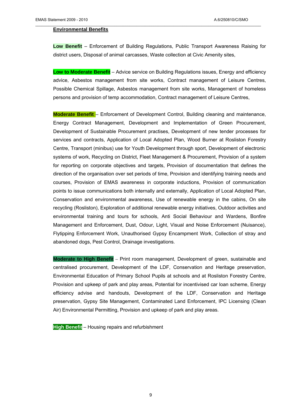#### **Environmental Benefits**

**Low Benefit** – Enforcement of Building Regulations, Public Transport Awareness Raising for district users, Disposal of animal carcasses, Waste collection at Civic Amenity sites,

 $\mathcal{L}_\mathcal{L} = \{ \mathcal{L}_\mathcal{L} = \{ \mathcal{L}_\mathcal{L} = \{ \mathcal{L}_\mathcal{L} = \{ \mathcal{L}_\mathcal{L} = \{ \mathcal{L}_\mathcal{L} = \{ \mathcal{L}_\mathcal{L} = \{ \mathcal{L}_\mathcal{L} = \{ \mathcal{L}_\mathcal{L} = \{ \mathcal{L}_\mathcal{L} = \{ \mathcal{L}_\mathcal{L} = \{ \mathcal{L}_\mathcal{L} = \{ \mathcal{L}_\mathcal{L} = \{ \mathcal{L}_\mathcal{L} = \{ \mathcal{L}_\mathcal{$ 

**Low to Moderate Benefit** – Advice service on Building Regulations issues, Energy and efficiency advice, Asbestos management from site works, Contract management of Leisure Centres, Possible Chemical Spillage, Asbestos management from site works, Management of homeless persons and provision of temp accommodation, Contract management of Leisure Centres,

**Moderate Benefit** – Enforcement of Development Control, Building cleaning and maintenance, Energy Contract Management, Development and Implementation of Green Procurement, Development of Sustainable Procurement practises, Development of new tender processes for services and contracts, Application of Local Adopted Plan, Wood Burner at Rosliston Forestry Centre, Transport (minibus) use for Youth Development through sport, Development of electronic systems of work, Recycling on District, Fleet Management & Procurement, Provision of a system for reporting on corporate objectives and targets, Provision of documentation that defines the direction of the organisation over set periods of time, Provision and identifying training needs and courses, Provision of EMAS awareness in corporate inductions, Provision of communication points to issue communications both internally and externally, Application of Local Adopted Plan, Conservation and environmental awareness, Use of renewable energy in the cabins, On site recycling (Rosliston), Exploration of additional renewable energy initiatives, Outdoor activities and environmental training and tours for schools, Anti Social Behaviour and Wardens, Bonfire Management and Enforcement, Dust, Odour, Light, Visual and Noise Enforcement (Nuisance), Flytipping Enforcement Work, Unauthorised Gypsy Encampment Work, Collection of stray and abandoned dogs, Pest Control, Drainage investigations.

**Moderate to High Benefit** – Print room management, Development of green, sustainable and centralised procurement, Development of the LDF, Conservation and Heritage preservation, Environmental Education of Primary School Pupils at schools and at Rosliston Forestry Centre, Provision and upkeep of park and play areas, Potential for incentivised car loan scheme, Energy efficiency advise and handouts, Development of the LDF, Conservation and Heritage preservation, Gypsy Site Management, Contaminated Land Enforcement, IPC Licensing (Clean Air) Environmental Permitting, Provision and upkeep of park and play areas.

**High Benefit** – Housing repairs and refurbishment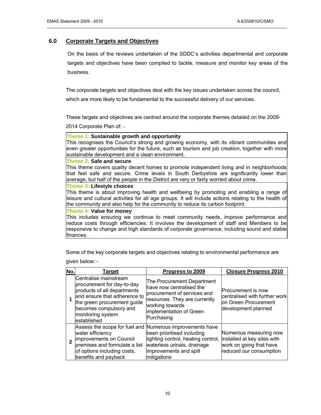#### **6.0 Corporate Targets and Objectives**

On the basis of the reviews undertaken of the SDDC's activities departmental and corporate targets and objectives have been compiled to tackle, measure and monitor key areas of the business.

\_\_\_\_\_\_\_\_\_\_\_\_\_\_\_\_\_\_\_\_\_\_\_\_\_\_\_\_\_\_\_\_\_\_\_\_\_\_\_\_\_\_\_\_\_\_\_\_\_\_\_\_\_\_\_\_\_\_\_\_\_\_\_\_\_\_\_\_\_\_\_\_\_\_\_\_\_\_\_\_\_\_\_\_\_\_\_\_\_\_\_\_\_\_\_\_\_\_\_\_\_\_\_

The corporate targets and objectives deal with the key issues undertaken across the council, which are more likely to be fundamental to the successful delivery of our services.

These targets and objectives are centred around the corporate themes detailed on the 2009-

2014 Corporate Plan of: -

#### **Theme 1: Sustainable growth and opportunity**

This recognises the Council's strong and growing economy, with its vibrant communities and even greater opportunities for the future, such as tourism and job creation, together with more sustainable development and a clean environment.

#### **Theme 2: Safe and secure**

This theme covers quality decent homes to promote independent living and in neighborhoods that feel safe and secure. Crime levels in South Derbyshire are significantly lower than average, but half of the people in the District are very or fairly worried about crime.

#### **Theme 3: Lifestyle choices**

This theme is about improving health and wellbeing by promoting and enabling a range of leisure and cultural activities for all age groups. It will include actions relating to the health of the community and also help for the community to reduce its carbon footprint.

#### **Theme 4: Value for money**

This includes ensuring we continue to meet community needs, improve performance and reduce costs through efficiencies. It involves the development of staff and Members to be responsive to change and high standards of corporate governance, including sound and stable finances.

Some of the key corporate targets and objectives relating to environmental performance are given below: -

| No. | Target                                                                                                                                                                                                          | Progress to 2009                                                                                                                                                                                     | <b>Closure Progress 2010</b>                                                                                |
|-----|-----------------------------------------------------------------------------------------------------------------------------------------------------------------------------------------------------------------|------------------------------------------------------------------------------------------------------------------------------------------------------------------------------------------------------|-------------------------------------------------------------------------------------------------------------|
|     | Centralise mainstream<br>procurement for day-to-day<br>products of all departments<br>and ensure that adherence to<br>the green procurement guide<br>becomes compulsory and<br>monitoring system<br>established | The Procurement Department<br>have now centralised the<br>procurement of services and<br>resources. They are currently<br>working towards<br>implementation of Green<br>Purchasing                   | Procurement is now<br>centralised with further work<br>on Green Procurement<br>development planned          |
|     | water efficiency<br>improvements on Council<br>premises and formulate a list<br>of options including costs,<br>benefits and payback                                                                             | Assess the scope for fuel and Numerous improvements have<br>been prioritised including<br>lighting control, heating control,<br>waterless urinals, drainage<br>improvements and spill<br>mitigations | Numerous measuring now<br>installed at key sites with<br>work on going that have<br>reduced our consumption |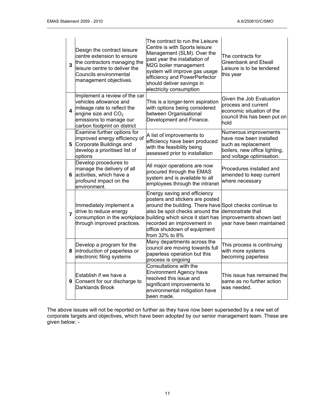| 3              | Design the contract leisure<br>centre extension to ensure<br>the contractors managing the<br>leisure centre to deliver the<br>Councils environmental<br>management objectives. | The contract to run the Leisure<br>Centre is with Sports leisure<br>Management (SLM). Over the<br>past year the installation of<br>M2G boiler management<br>system will improve gas usage<br>efficiency and PowerPerfector<br>should deliver savings in<br>electricity consumption | The contracts for<br><b>Greenbank and Etwall</b><br>Leisure is to be tendered<br>this year                                            |
|----------------|--------------------------------------------------------------------------------------------------------------------------------------------------------------------------------|------------------------------------------------------------------------------------------------------------------------------------------------------------------------------------------------------------------------------------------------------------------------------------|---------------------------------------------------------------------------------------------------------------------------------------|
| 4              | Implement a review of the car<br>vehicles allowance and<br>mileage rate to reflect the<br>engine size and $CO2$<br>emissions to manage our<br>carbon footprint on district     | This is a longer-term aspiration<br>with options being considered<br>between Organisational<br>Development and Finance.                                                                                                                                                            | Given the Job Evaluation<br>process and current<br>economic situation of the<br>council this has been put on<br>hold                  |
|                | Examine further options for<br>improved energy efficiency of<br>5 Corporate Buildings and<br>develop a prioritised list of<br>options                                          | A list of improvements to<br>efficiency have been produced<br>with the feasibility being<br>assessed prior to installation                                                                                                                                                         | Numerous improvements<br>have now been installed<br>such as replacement<br>boilers, new office lighting,<br>and voltage optimisation. |
| 6              | Develop procedures to<br>manage the delivery of all<br>activities, which have a<br>profound impact on the<br>environment.                                                      | All major operations are now<br>procured through the EMAS<br>system and is available to all<br>employees through the intranet                                                                                                                                                      | Procedures installed and<br>amended to keep current<br>where necessary                                                                |
| $\overline{7}$ | Immediately implement a<br>drive to reduce energy<br>consumption in the workplace<br>through improved practices.                                                               | Energy saving and efficiency<br>posters and stickers are posted<br>around the building. There have Spot checks continue to<br>also be spot checks around the<br>building which since it start has<br>recorded an improvement in<br>office shutdown of equipment<br>from 32% to 8%  | demonstrate that<br>improvements shown last<br>vear have been maintained                                                              |
| 8              | Develop a program for the<br>introduction of paperless or<br>electronic filing systems                                                                                         | Many departments across the<br>council are moving towards full<br>paperless operation but this<br>process is ongoing                                                                                                                                                               | This process is continuing<br>with more systems<br>becoming paperless                                                                 |
| 9              | Establish if we have a<br>Consent for our discharge to<br>Darklands Brook                                                                                                      | Consultations with the<br>Environment Agency have<br>resolved this issue and<br>significant improvements to<br>environmental mitigation have<br>been made.                                                                                                                         | This issue has remained the<br>same as no further action<br>was needed.                                                               |

The above issues will not be reported on further as they have now been superseded by a new set of corporate targets and objectives, which have been adopted by our senior management team. These are given below: -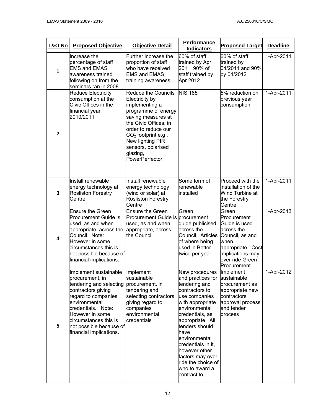| T&O No                  | <b>Proposed Objective</b>                                                                                                                                                                                                                                 | <b>Objective Detail</b>                                                                                                                                                                                                                              | <b>Performance</b><br><b>Indicators</b>                                                                                                                                                                                                                                                                                           | <b>Proposed Target</b>                                                                                                                  | <b>Deadline</b> |
|-------------------------|-----------------------------------------------------------------------------------------------------------------------------------------------------------------------------------------------------------------------------------------------------------|------------------------------------------------------------------------------------------------------------------------------------------------------------------------------------------------------------------------------------------------------|-----------------------------------------------------------------------------------------------------------------------------------------------------------------------------------------------------------------------------------------------------------------------------------------------------------------------------------|-----------------------------------------------------------------------------------------------------------------------------------------|-----------------|
| $\mathbf{1}$            | Increase the<br>Further increase the<br>percentage of staff<br>proportion of staff<br><b>EMS and EMAS</b><br>who have received<br><b>EMS and EMAS</b><br>awareness trained<br>following on from the<br>training awareness<br>seminars ran in 2008         |                                                                                                                                                                                                                                                      | 60% of staff<br>trained by Apr<br>2011, 90% of<br>staff trained by<br>Apr 2012                                                                                                                                                                                                                                                    | 60% of staff<br>trained by<br>04/2011 and 90%<br>by 04/2012                                                                             | 1-Apr-2011      |
| $\overline{2}$          | <b>Reduce Electricity</b><br>consumption at the<br>Civic Offices in the<br>financial year<br>2010/2011                                                                                                                                                    | Reduce the Councils<br>Electricity by<br>implementing a<br>programme of energy<br>saving measures at<br>the Civic Offices, in<br>order to reduce our<br>$CO2$ footprint e.g.<br>New lighting PIR<br>sensors, polarised<br>glazing,<br>PowerPerfector | <b>NIS 185</b>                                                                                                                                                                                                                                                                                                                    | 5% reduction on<br>previous year<br>consumption                                                                                         | 1-Apr-2011      |
| $\mathbf{3}$            | Install renewable<br>energy technology at<br><b>Rosliston Forestry</b><br>Centre                                                                                                                                                                          | Install renewable<br>energy technology<br>(wind or solar) at<br><b>Rosliston Forestry</b><br>Centre                                                                                                                                                  | Some form of<br>renewable<br>installed                                                                                                                                                                                                                                                                                            | Proceed with the<br>installation of the<br>Wind Turbine at<br>the Forestry<br>Centre                                                    | 1-Apr-2011      |
| $\overline{\mathbf{4}}$ | <b>Ensure the Green</b><br><b>Procurement Guide is</b><br>used, as and when<br>appropriate, across the<br>Council. Note:<br>However in some<br>circumstances this is<br>not possible because of<br>financial implications.                                | <b>Ensure the Green</b><br>Procurement Guide is procurement<br>used, as and when<br>appropriate, across<br>the Council                                                                                                                               | Green<br>guide publicised<br>across the<br>Council. Articles Council, as and<br>of where being<br>used in Better<br>twice per year.                                                                                                                                                                                               | Green<br>Procurement<br>Guide is used<br>across the<br>when<br>appropriate. Cost<br>implications may<br>over ride Green<br>Procurement. | 1-Apr-2013      |
| 5                       | Implement sustainable<br>procurement, in<br>tendering and selecting<br>contractors giving<br>regard to companies<br>environmental<br>credentials. Note:<br>However in some<br>circumstances this is<br>not possible because of<br>financial implications. | Implement<br>sustainable<br>procurement, in<br>tendering and<br>selecting contractors<br>giving regard to<br>companies<br>environmental<br>credentials                                                                                               | New procedures<br>and practices for<br>tendering and<br>contractors to<br>use companies<br>with appropriate<br>environmental<br>credentials, as<br>appropriate. All<br>tenders should<br>have<br>environmental<br>credentials in it,<br>however other<br>factors may over<br>ride the choice of<br>who to award a<br>contract to. | Implement<br>sustainable<br>procurement as<br>appropriate new<br>contractors<br>approval process<br>and tender<br>process               | 1-Apr-2012      |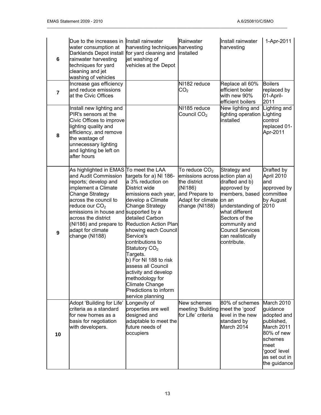| $\bf 6$        | Due to the increases in Install rainwater<br>water consumption at<br>Darklands Depot install<br>rainwater harvesting<br>techniques for yard<br>cleaning and jet<br>washing of vehicles                                                                                                                                | harvesting techniques harvesting<br>for yard cleaning and<br>jet washing of<br>vehicles at the Depot                                                                                                                                                                                                                                                                                                                                       | Rainwater<br>installed                                                                                                                 | Install rainwater<br>harvesting                                                                                                                                                                                  | 1-Apr-2011                                                                                                                                          |
|----------------|-----------------------------------------------------------------------------------------------------------------------------------------------------------------------------------------------------------------------------------------------------------------------------------------------------------------------|--------------------------------------------------------------------------------------------------------------------------------------------------------------------------------------------------------------------------------------------------------------------------------------------------------------------------------------------------------------------------------------------------------------------------------------------|----------------------------------------------------------------------------------------------------------------------------------------|------------------------------------------------------------------------------------------------------------------------------------------------------------------------------------------------------------------|-----------------------------------------------------------------------------------------------------------------------------------------------------|
| $\overline{7}$ | Increase gas efficiency<br>and reduce emissions<br>at the Civic Offices                                                                                                                                                                                                                                               |                                                                                                                                                                                                                                                                                                                                                                                                                                            | NI182 reduce<br>CO <sub>2</sub>                                                                                                        | Replace all 60%<br>efficient boiler<br>with new 90%<br>efficient boilers                                                                                                                                         | <b>Boilers</b><br>replaced by<br>01-April-<br>2011                                                                                                  |
| 8              | Install new lighting and<br>PIR's sensors at the<br>Civic Offices to improve<br>lighting quality and<br>efficiency, and remove<br>the wastage of<br>unnecessary lighting<br>and lighting be left on<br>after hours                                                                                                    |                                                                                                                                                                                                                                                                                                                                                                                                                                            | NI185 reduce<br>Council $CO2$                                                                                                          | New lighting and<br>lighting operation Lighting<br>installed                                                                                                                                                     | Lighting and<br>control<br>replaced 01-<br>Apr-2011                                                                                                 |
| 9              | As highlighted in EMAS To meet the LAA<br>and Audit Commission<br>reports; develop and<br>implement a Climate<br><b>Change Strategy</b><br>across the council to<br>reduce our $CO2$<br>emissions in house and supported by a<br>across the district<br>(NI186) and prepare to<br>adapt for climate<br>change (NI188) | targets for a) NI 186-<br>a 3% reduction on<br>District wide<br>emissions each year,<br>develop a Climate<br>Change Strategy<br>detailed Carbon<br><b>Reduction Action Plan</b><br>showing each Council<br>Service's<br>contributions to<br>Statutory CO <sub>2</sub><br>Targets.<br>b) For NI 188 to risk<br>assess all Council<br>activity and develop<br>methodology for<br>Climate Change<br>Predictions to inform<br>service planning | To reduce $CO2$<br>emissions across action plan a)<br>the district<br>(NI186)<br>and Prepare to<br>Adapt for climate<br>change (NI188) | Strategy and<br>drafted and b)<br>approved by<br>members, based<br>on an<br>understanding of<br>what different<br>Sectors of the<br>community and<br><b>Council Services</b><br>can realistically<br>contribute. | Drafted by<br>April 2010<br>and<br>approved by<br>committee<br>by August<br>2010                                                                    |
| 10             | Adopt 'Building for Life'<br>criteria as a standard<br>for new homes as a<br>basis for negotiation<br>with developers.                                                                                                                                                                                                | Longevity of<br>properties are well<br>designed and<br>adaptable to meet the<br>future needs of<br>occupiers                                                                                                                                                                                                                                                                                                                               | New schemes<br>meeting 'Building<br>for Life' criteria                                                                                 | 80% of schemes<br>meet the 'good'<br>level in the new<br>standard by<br>March 2014                                                                                                                               | March 2010<br>guidance<br>adopted and<br>published,<br>March 2011<br>80% of new<br>schemes<br>meet<br>'good' level<br>as set out in<br>the guidance |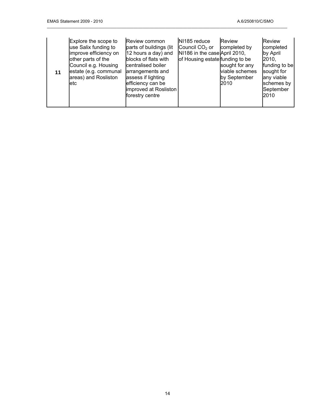| 11 | Explore the scope to<br>use Salix funding to<br>improve efficiency on<br>other parts of the<br>Council e.g. Housing<br>estate (e.g. communal<br>areas) and Rosliston<br>letc | Review common<br>parts of buildings (lit<br>12 hours a day) and<br>blocks of flats with<br>centralised boiler<br>arrangements and<br>assess if lighting<br>efficiency can be<br>improved at Rosliston<br>forestry centre | NI185 reduce<br>Council CO <sub>2</sub> or<br>NI186 in the case April 2010,<br>of Housing estate funding to be | <b>Review</b><br>completed by<br>sought for any<br>viable schemes<br>by September<br>2010 | <b>Review</b><br>completed<br>by April<br>2010.<br>funding to be<br>sought for<br>any viable<br>schemes by<br>September<br>2010 |
|----|------------------------------------------------------------------------------------------------------------------------------------------------------------------------------|--------------------------------------------------------------------------------------------------------------------------------------------------------------------------------------------------------------------------|----------------------------------------------------------------------------------------------------------------|-------------------------------------------------------------------------------------------|---------------------------------------------------------------------------------------------------------------------------------|
|----|------------------------------------------------------------------------------------------------------------------------------------------------------------------------------|--------------------------------------------------------------------------------------------------------------------------------------------------------------------------------------------------------------------------|----------------------------------------------------------------------------------------------------------------|-------------------------------------------------------------------------------------------|---------------------------------------------------------------------------------------------------------------------------------|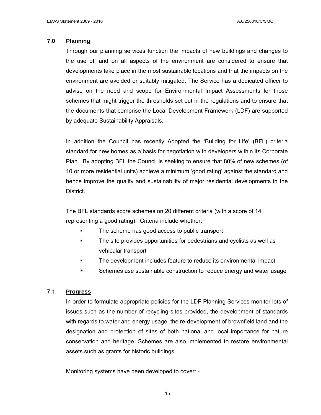#### **7.0 Planning**

Through our planning services function the impacts of new buildings and changes to the use of land on all aspects of the environment are considered to ensure that developments take place in the most sustainable locations and that the impacts on the environment are avoided or suitably mitigated. The Service has a dedicated officer to advise on the need and scope for Environmental Impact Assessments for those schemes that might trigger the thresholds set out in the regulations and to ensure that the documents that comprise the Local Development Framework (LDF) are supported by adequate Sustainability Appraisals.

\_\_\_\_\_\_\_\_\_\_\_\_\_\_\_\_\_\_\_\_\_\_\_\_\_\_\_\_\_\_\_\_\_\_\_\_\_\_\_\_\_\_\_\_\_\_\_\_\_\_\_\_\_\_\_\_\_\_\_\_\_\_\_\_\_\_\_\_\_\_\_\_\_\_\_\_\_\_\_\_\_\_\_\_\_\_\_\_\_\_\_\_\_\_\_\_\_\_\_\_\_\_\_

In addition the Council has recently Adopted the 'Building for Life' (BFL) criteria standard for new homes as a basis for negotiation with developers within its Corporate Plan. By adopting BFL the Council is seeking to ensure that 80% of new schemes (of 10 or more residential units) achieve a minimum 'good rating' against the standard and hence improve the quality and sustainability of major residential developments in the District.

The BFL standards score schemes on 20 different criteria (with a score of 14 representing a good rating). Criteria include whether:

- **The scheme has good access to public transport**
- **The site provides opportunities for pedestrians and cyclists as well as** vehicular transport
- The development includes feature to reduce its environmental impact
- **Schemes use sustainable construction to reduce energy and water usage**

#### 7.1 **Progress**

In order to formulate appropriate policies for the LDF Planning Services monitor lots of issues such as the number of recycling sites provided, the development of standards with regards to water and energy usage, the re-development of brownfield land and the designation and protection of sites of both national and local importance for nature conservation and heritage. Schemes are also implemented to restore environmental assets such as grants for historic buildings.

Monitoring systems have been developed to cover: -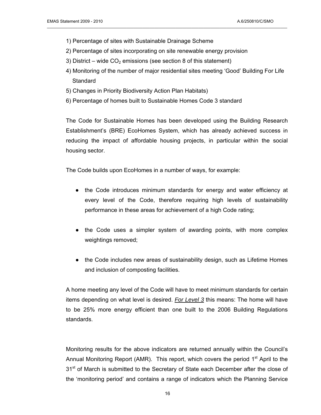- 1) Percentage of sites with Sustainable Drainage Scheme
- 2) Percentage of sites incorporating on site renewable energy provision

- 3) District wide  $CO<sub>2</sub>$  emissions (see section 8 of this statement)
- 4) Monitoring of the number of major residential sites meeting 'Good' Building For Life **Standard**
- 5) Changes in Priority Biodiversity Action Plan Habitats)
- 6) Percentage of homes built to Sustainable Homes Code 3 standard

The Code for Sustainable Homes has been developed using the Building Research Establishment's (BRE) EcoHomes System, which has already achieved success in reducing the impact of affordable housing projects, in particular within the social housing sector.

The Code builds upon EcoHomes in a number of ways, for example:

- the Code introduces minimum standards for energy and water efficiency at every level of the Code, therefore requiring high levels of sustainability performance in these areas for achievement of a high Code rating;
- the Code uses a simpler system of awarding points, with more complex weightings removed;
- the Code includes new areas of sustainability design, such as Lifetime Homes and inclusion of composting facilities.

A home meeting any level of the Code will have to meet minimum standards for certain items depending on what level is desired. *For Level 3* this means: The home will have to be 25% more energy efficient than one built to the 2006 Building Regulations standards.

Monitoring results for the above indicators are returned annually within the Council's Annual Monitoring Report (AMR). This report, which covers the period  $1<sup>st</sup>$  April to the 31<sup>st</sup> of March is submitted to the Secretary of State each December after the close of the 'monitoring period' and contains a range of indicators which the Planning Service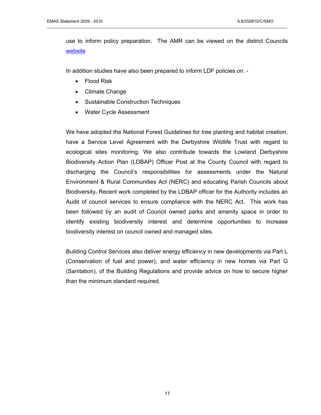use to inform policy preparation. The AMR can be viewed on the district Councils [website](http://www.south-derbys.gov.uk/planning_and_building_control/planning_policy/local_development_framework/annual_monitoring_reports/default.asp)

\_\_\_\_\_\_\_\_\_\_\_\_\_\_\_\_\_\_\_\_\_\_\_\_\_\_\_\_\_\_\_\_\_\_\_\_\_\_\_\_\_\_\_\_\_\_\_\_\_\_\_\_\_\_\_\_\_\_\_\_\_\_\_\_\_\_\_\_\_\_\_\_\_\_\_\_\_\_\_\_\_\_\_\_\_\_\_\_\_\_\_\_\_\_\_\_\_\_\_\_\_\_\_

In addition studies have also been prepared to inform LDF policies on: -

- Flood Risk
- Climate Change
- Sustainable Construction Techniques
- Water Cycle Assessment

We have adopted the National Forest Guidelines for tree planting and habitat creation, have a Service Level Agreement with the Derbyshire Wildlife Trust with regard to ecological sites monitoring. We also contribute towards the Lowland Derbyshire Biodiversity Action Plan (LDBAP) Officer Post at the County Council with regard to discharging the Council's responsibilities for assessments under the Natural Environment & Rural Communities Act (NERC) and educating Parish Councils about Biodiversity**.** Recent work completed by the LDBAP officer for the Authority includes an Audit of council services to ensure compliance with the NERC Act. This work has been followed by an audit of Council owned parks and amenity space in order to identify existing biodiversity interest and determine opportunities to increase biodiversity interest on council owned and managed sites.

Building Control Services also deliver energy efficiency in new developments via Part L (Conservation of fuel and power), and water efficiency in new homes via Part G (Sanitation), of the Building Regulations and provide advice on how to secure higher than the minimum standard required.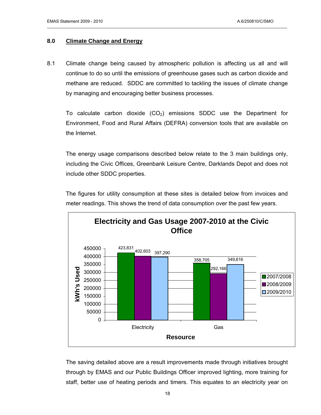#### **8.0 Climate Change and Energy**

8.1 Climate change being caused by atmospheric pollution is affecting us all and will continue to do so until the emissions of greenhouse gases such as carbon dioxide and methane are reduced. SDDC are committed to tackling the issues of climate change by managing and encouraging better business processes.

\_\_\_\_\_\_\_\_\_\_\_\_\_\_\_\_\_\_\_\_\_\_\_\_\_\_\_\_\_\_\_\_\_\_\_\_\_\_\_\_\_\_\_\_\_\_\_\_\_\_\_\_\_\_\_\_\_\_\_\_\_\_\_\_\_\_\_\_\_\_\_\_\_\_\_\_\_\_\_\_\_\_\_\_\_\_\_\_\_\_\_\_\_\_\_\_\_\_\_\_\_\_\_

To calculate carbon dioxide  $(CO<sub>2</sub>)$  emissions SDDC use the Department for Environment, Food and Rural Affairs (DEFRA) conversion tools that are available on the Internet.

The energy usage comparisons described below relate to the 3 main buildings only, including the Civic Offices, Greenbank Leisure Centre, Darklands Depot and does not include other SDDC properties.

The figures for utility consumption at these sites is detailed below from invoices and meter readings. This shows the trend of data consumption over the past few years.



The saving detailed above are a result improvements made through initiatives brought through by EMAS and our Public Buildings Officer improved lighting, more training for staff, better use of heating periods and timers. This equates to an electricity year on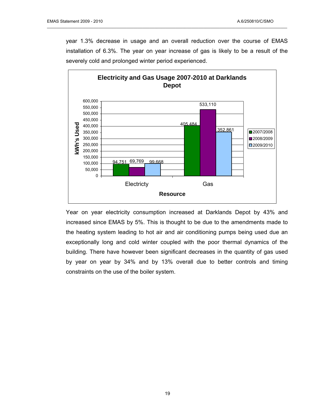year 1.3% decrease in usage and an overall reduction over the course of EMAS installation of 6.3%. The year on year increase of gas is likely to be a result of the severely cold and prolonged winter period experienced.

\_\_\_\_\_\_\_\_\_\_\_\_\_\_\_\_\_\_\_\_\_\_\_\_\_\_\_\_\_\_\_\_\_\_\_\_\_\_\_\_\_\_\_\_\_\_\_\_\_\_\_\_\_\_\_\_\_\_\_\_\_\_\_\_\_\_\_\_\_\_\_\_\_\_\_\_\_\_\_\_\_\_\_\_\_\_\_\_\_\_\_\_\_\_\_\_\_\_\_\_\_\_\_



Year on year electricity consumption increased at Darklands Depot by 43% and increased since EMAS by 5%. This is thought to be due to the amendments made to the heating system leading to hot air and air conditioning pumps being used due an exceptionally long and cold winter coupled with the poor thermal dynamics of the building. There have however been significant decreases in the quantity of gas used by year on year by 34% and by 13% overall due to better controls and timing constraints on the use of the boiler system.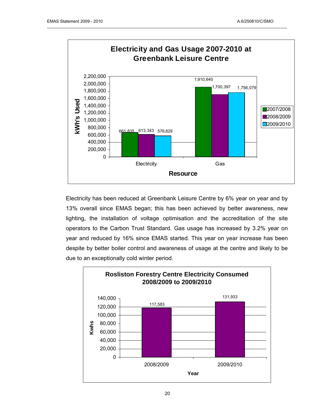

Electricity has been reduced at Greenbank Leisure Centre by 6% year on year and by 13% overall since EMAS began; this has been achieved by better awareness, new lighting, the installation of voltage optimisation and the accreditation of the site operators to the Carbon Trust Standard. Gas usage has increased by 3.2% year on year and reduced by 16% since EMAS started. This year on year increase has been despite by better boiler control and awareness of usage at the centre and likely to be due to an exceptionally cold winter period.

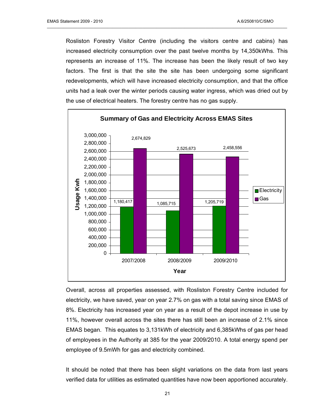Rosliston Forestry Visitor Centre (including the visitors centre and cabins) has increased electricity consumption over the past twelve months by 14,350kWhs. This represents an increase of 11%. The increase has been the likely result of two key factors. The first is that the site the site has been undergoing some significant redevelopments, which will have increased electricity consumption, and that the office units had a leak over the winter periods causing water ingress, which was dried out by the use of electrical heaters. The forestry centre has no gas supply.

\_\_\_\_\_\_\_\_\_\_\_\_\_\_\_\_\_\_\_\_\_\_\_\_\_\_\_\_\_\_\_\_\_\_\_\_\_\_\_\_\_\_\_\_\_\_\_\_\_\_\_\_\_\_\_\_\_\_\_\_\_\_\_\_\_\_\_\_\_\_\_\_\_\_\_\_\_\_\_\_\_\_\_\_\_\_\_\_\_\_\_\_\_\_\_\_\_\_\_\_\_\_\_



Overall, across all properties assessed, with Rosliston Forestry Centre included for electricity, we have saved, year on year 2.7% on gas with a total saving since EMAS of 8%. Electricity has increased year on year as a result of the depot increase in use by 11%, however overall across the sites there has still been an increase of 2.1% since EMAS began. This equates to 3,131kWh of electricity and 6,385kWhs of gas per head of employees in the Authority at 385 for the year 2009/2010. A total energy spend per employee of 9.5mWh for gas and electricity combined.

It should be noted that there has been slight variations on the data from last years verified data for utilities as estimated quantities have now been apportioned accurately.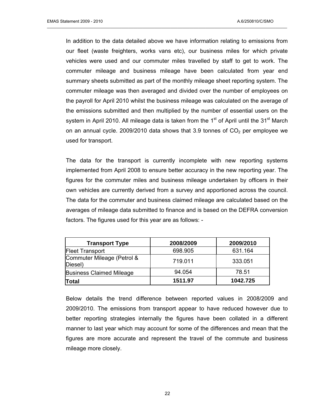In addition to the data detailed above we have information relating to emissions from our fleet (waste freighters, works vans etc), our business miles for which private vehicles were used and our commuter miles travelled by staff to get to work. The commuter mileage and business mileage have been calculated from year end summary sheets submitted as part of the monthly mileage sheet reporting system. The commuter mileage was then averaged and divided over the number of employees on the payroll for April 2010 whilst the business mileage was calculated on the average of the emissions submitted and then multiplied by the number of essential users on the system in April 2010. All mileage data is taken from the  $1<sup>st</sup>$  of April until the  $31<sup>st</sup>$  March on an annual cycle. 2009/2010 data shows that 3.9 tonnes of  $CO<sub>2</sub>$  per employee we used for transport.

\_\_\_\_\_\_\_\_\_\_\_\_\_\_\_\_\_\_\_\_\_\_\_\_\_\_\_\_\_\_\_\_\_\_\_\_\_\_\_\_\_\_\_\_\_\_\_\_\_\_\_\_\_\_\_\_\_\_\_\_\_\_\_\_\_\_\_\_\_\_\_\_\_\_\_\_\_\_\_\_\_\_\_\_\_\_\_\_\_\_\_\_\_\_\_\_\_\_\_\_\_\_\_

The data for the transport is currently incomplete with new reporting systems implemented from April 2008 to ensure better accuracy in the new reporting year. The figures for the commuter miles and business mileage undertaken by officers in their own vehicles are currently derived from a survey and apportioned across the council. The data for the commuter and business claimed mileage are calculated based on the averages of mileage data submitted to finance and is based on the DEFRA conversion factors. The figures used for this year are as follows: -

| <b>Transport Type</b>                 | 2008/2009 | 2009/2010 |
|---------------------------------------|-----------|-----------|
| <b>Fleet Transport</b>                | 698.905   | 631.164   |
| Commuter Mileage (Petrol &<br>Diesel) | 719.011   | 333.051   |
| <b>Business Claimed Mileage</b>       | 94.054    | 78.51     |
| Total                                 | 1511.97   | 1042.725  |

Below details the trend difference between reported values in 2008/2009 and 2009/2010. The emissions from transport appear to have reduced however due to better reporting strategies internally the figures have been collated in a different manner to last year which may account for some of the differences and mean that the figures are more accurate and represent the travel of the commute and business mileage more closely.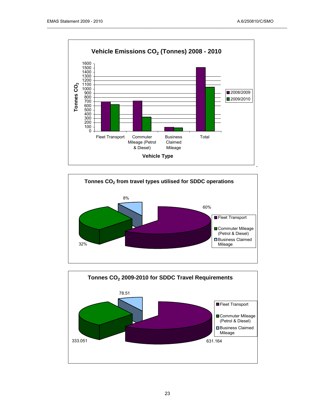



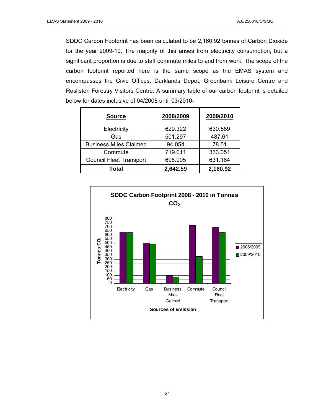SDDC Carbon Footprint has been calculated to be 2,160.92 tonnes of Carbon Dioxide for the year 2009-10. The majority of this arises from electricity consumption, but a significant proportion is due to staff commute miles to and from work. The scope of the carbon footprint reported here is the same scope as the EMAS system and encompasses the Civic Offices, Darklands Depot, Greenbank Leisure Centre and Rosliston Forestry Visitors Centre. A summary table of our carbon footprint is detailed below for dates inclusive of 04/2008 until 03/2010-

| <b>Source</b>                  | 2008/2009 | 2009/2010 |
|--------------------------------|-----------|-----------|
| Electricity                    | 629.322   | 630.589   |
| Gas                            | 501.297   | 487.61    |
| <b>Business Miles Claimed</b>  | 94.054    | 78.51     |
| Commute                        | 719.011   | 333.051   |
| <b>Council Fleet Transport</b> | 698.905   | 631.164   |
| Total                          | 2,642.59  | 2,160.92  |

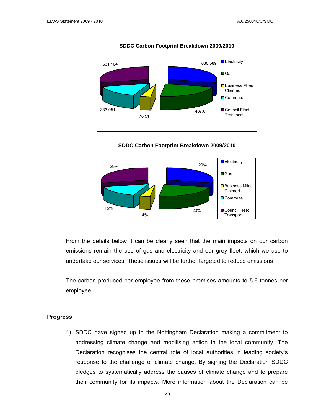



From the details below it can be clearly seen that the main impacts on our carbon emissions remain the use of gas and electricity and our grey fleet, which we use to undertake our services. These issues will be further targeted to reduce emissions

The carbon produced per employee from these premises amounts to 5.6 tonnes per employee.

#### **Progress**

1) SDDC have signed up to the Nottingham Declaration making a commitment to addressing climate change and mobilising action in the local community. The Declaration recognises the central role of local authorities in leading society's response to the challenge of climate change. By signing the Declaration SDDC pledges to systematically address the causes of climate change and to prepare their community for its impacts. More information about the Declaration can be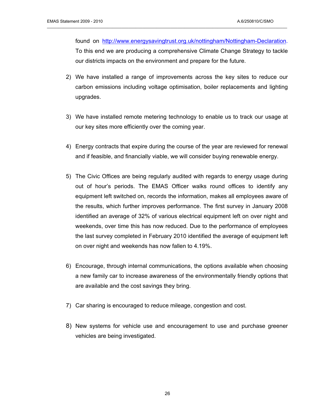found on <http://www.energysavingtrust.org.uk/nottingham/Nottingham-Declaration>. To this end we are producing a comprehensive Climate Change Strategy to tackle our districts impacts on the environment and prepare for the future.

- 2) We have installed a range of improvements across the key sites to reduce our carbon emissions including voltage optimisation, boiler replacements and lighting upgrades.
- 3) We have installed remote metering technology to enable us to track our usage at our key sites more efficiently over the coming year.
- 4) Energy contracts that expire during the course of the year are reviewed for renewal and if feasible, and financially viable, we will consider buying renewable energy.
- 5) The Civic Offices are being regularly audited with regards to energy usage during out of hour's periods. The EMAS Officer walks round offices to identify any equipment left switched on, records the information, makes all employees aware of the results, which further improves performance. The first survey in January 2008 identified an average of 32% of various electrical equipment left on over night and weekends, over time this has now reduced. Due to the performance of employees the last survey completed in February 2010 identified the average of equipment left on over night and weekends has now fallen to 4.19%.
- 6) Encourage, through internal communications, the options available when choosing a new family car to increase awareness of the environmentally friendly options that are available and the cost savings they bring.
- 7) Car sharing is encouraged to reduce mileage, congestion and cost.
- 8) New systems for vehicle use and encouragement to use and purchase greener vehicles are being investigated.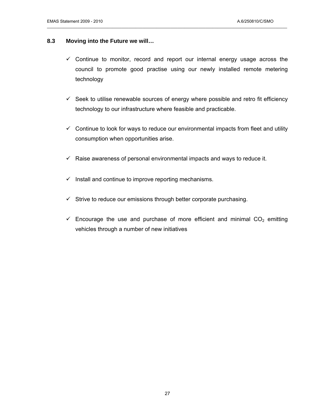#### **8.3 Moving into the Future we will…**

 $\checkmark$  Continue to monitor, record and report our internal energy usage across the council to promote good practise using our newly installed remote metering technology

- $\checkmark$  Seek to utilise renewable sources of energy where possible and retro fit efficiency technology to our infrastructure where feasible and practicable.
- $\checkmark$  Continue to look for ways to reduce our environmental impacts from fleet and utility consumption when opportunities arise.
- $\checkmark$  Raise awareness of personal environmental impacts and ways to reduce it.
- $\checkmark$  Install and continue to improve reporting mechanisms.
- $\checkmark$  Strive to reduce our emissions through better corporate purchasing.
- $\checkmark$  Encourage the use and purchase of more efficient and minimal CO<sub>2</sub> emitting vehicles through a number of new initiatives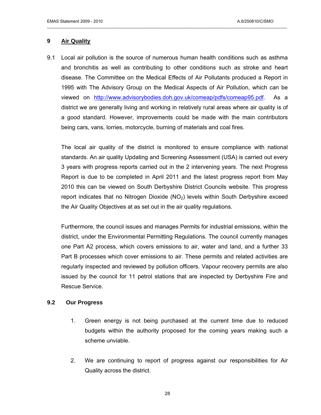#### **9 Air Quality**

9.1 Local air pollution is the source of numerous human health conditions such as asthma and bronchitis as well as contributing to other conditions such as stroke and heart disease. The Committee on the Medical Effects of Air Pollutants produced a Report in 1995 with The Advisory Group on the Medical Aspects of Air Pollution, which can be viewed on http://www.advisorybodies.doh.gov.uk/comeap/pdfs/comeap95.pdf. As a district we are generally living and working in relatively rural areas where air quality is of a good standard. However, improvements could be made with the main contributors being cars, vans, lorries, motorcycle, burning of materials and coal fires.

\_\_\_\_\_\_\_\_\_\_\_\_\_\_\_\_\_\_\_\_\_\_\_\_\_\_\_\_\_\_\_\_\_\_\_\_\_\_\_\_\_\_\_\_\_\_\_\_\_\_\_\_\_\_\_\_\_\_\_\_\_\_\_\_\_\_\_\_\_\_\_\_\_\_\_\_\_\_\_\_\_\_\_\_\_\_\_\_\_\_\_\_\_\_\_\_\_\_\_\_\_\_\_

 The local air quality of the district is monitored to ensure compliance with national standards. An air quality Updating and Screening Assessment (USA) is carried out every 3 years with progress reports carried out in the 2 intervening years. The next Progress Report is due to be completed in April 2011 and the latest progress report from May 2010 this can be viewed on South Derbyshire District Councils website. This progress report indicates that no Nitrogen Dioxide  $(NO<sub>2</sub>)$  levels within South Derbyshire exceed the Air Quality Objectives at as set out in the air quality regulations.

 Furthermore, the council issues and manages Permits for industrial emissions, within the district, under the Environmental Permitting Regulations. The council currently manages one Part A2 process, which covers emissions to air, water and land, and a further 33 Part B processes which cover emissions to air. These permits and related activities are regularly inspected and reviewed by pollution officers. Vapour recovery permits are also issued by the council for 11 petrol stations that are inspected by Derbyshire Fire and Rescue Service.

#### **9.2 Our Progress**

- 1. Green energy is not being purchased at the current time due to reduced budgets within the authority proposed for the coming years making such a scheme unviable.
- 2. We are continuing to report of progress against our responsibilities for Air Quality across the district.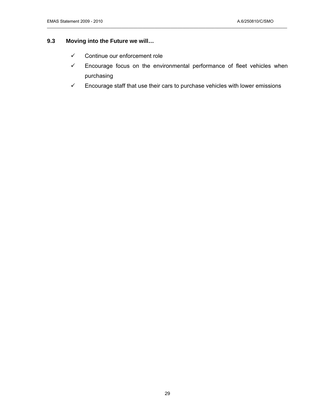#### **9.3 Moving into the Future we will…**

- $\checkmark$  Continue our enforcement role
- $\checkmark$  Encourage focus on the environmental performance of fleet vehicles when purchasing
- $\checkmark$  Encourage staff that use their cars to purchase vehicles with lower emissions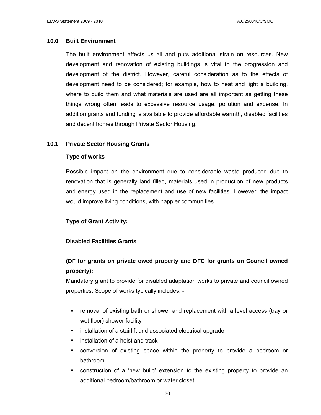#### **10.0 Built Environment**

The built environment affects us all and puts additional strain on resources. New development and renovation of existing buildings is vital to the progression and development of the district. However, careful consideration as to the effects of development need to be considered; for example, how to heat and light a building, where to build them and what materials are used are all important as getting these things wrong often leads to excessive resource usage, pollution and expense. In addition grants and funding is available to provide affordable warmth, disabled facilities and decent homes through Private Sector Housing.

\_\_\_\_\_\_\_\_\_\_\_\_\_\_\_\_\_\_\_\_\_\_\_\_\_\_\_\_\_\_\_\_\_\_\_\_\_\_\_\_\_\_\_\_\_\_\_\_\_\_\_\_\_\_\_\_\_\_\_\_\_\_\_\_\_\_\_\_\_\_\_\_\_\_\_\_\_\_\_\_\_\_\_\_\_\_\_\_\_\_\_\_\_\_\_\_\_\_\_\_\_\_\_

#### **10.1 Private Sector Housing Grants**

#### **Type of works**

Possible impact on the environment due to considerable waste produced due to renovation that is generally land filled, materials used in production of new products and energy used in the replacement and use of new facilities. However, the impact would improve living conditions, with happier communities.

#### **Type of Grant Activity:**

#### **Disabled Facilities Grants**

### **(DF for grants on private owed property and DFC for grants on Council owned property):**

Mandatory grant to provide for disabled adaptation works to private and council owned properties. Scope of works typically includes: -

- **F** removal of existing bath or shower and replacement with a level access (tray or wet floor) shower facility
- **EXECT** installation of a stairlift and associated electrical upgrade
- installation of a hoist and track
- conversion of existing space within the property to provide a bedroom or bathroom
- construction of a 'new build' extension to the existing property to provide an additional bedroom/bathroom or water closet.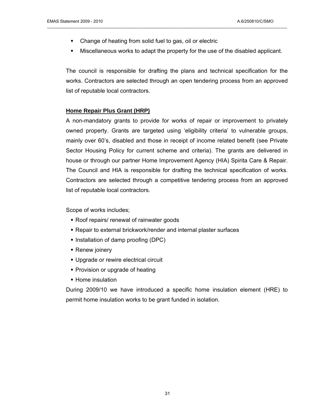- Change of heating from solid fuel to gas, oil or electric
- Miscellaneous works to adapt the property for the use of the disabled applicant.

The council is responsible for drafting the plans and technical specification for the works. Contractors are selected through an open tendering process from an approved list of reputable local contractors.

#### **Home Repair Plus Grant (HRP)**

A non-mandatory grants to provide for works of repair or improvement to privately owned property. Grants are targeted using 'eligibility criteria' to vulnerable groups, mainly over 60's, disabled and those in receipt of income related benefit (see Private Sector Housing Policy for current scheme and criteria). The grants are delivered in house or through our partner Home Improvement Agency (HIA) Spirita Care & Repair. The Council and HIA is responsible for drafting the technical specification of works. Contractors are selected through a competitive tendering process from an approved list of reputable local contractors.

Scope of works includes;

- Roof repairs/ renewal of rainwater goods
- Repair to external brickwork/render and internal plaster surfaces
- Installation of damp proofing (DPC)
- Renew joinery
- **Upgrade or rewire electrical circuit**
- Provision or upgrade of heating
- **Home insulation**

During 2009/10 we have introduced a specific home insulation element (HRE) to permit home insulation works to be grant funded in isolation.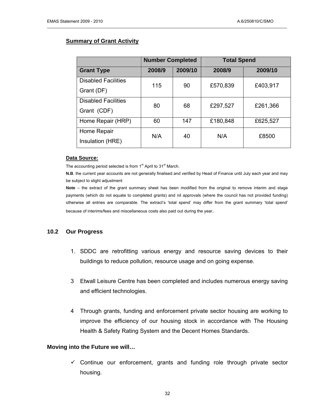#### **Summary of Grant Activity**

|                            | <b>Number Completed</b> | <b>Total Spend</b> |          |          |  |
|----------------------------|-------------------------|--------------------|----------|----------|--|
| <b>Grant Type</b>          | 2008/9                  | 2009/10            | 2008/9   | 2009/10  |  |
| <b>Disabled Facilities</b> | 115                     | 90                 | £570,839 | £403,917 |  |
| Grant (DF)                 |                         |                    |          |          |  |
| <b>Disabled Facilities</b> | 80                      | 68                 | £297,527 | £261,366 |  |
| Grant (CDF)                |                         |                    |          |          |  |
| Home Repair (HRP)          | 60                      | 147                | £180,848 | £625,527 |  |
| Home Repair                | N/A                     | 40                 | N/A      | £8500    |  |
| Insulation (HRE)           |                         |                    |          |          |  |

\_\_\_\_\_\_\_\_\_\_\_\_\_\_\_\_\_\_\_\_\_\_\_\_\_\_\_\_\_\_\_\_\_\_\_\_\_\_\_\_\_\_\_\_\_\_\_\_\_\_\_\_\_\_\_\_\_\_\_\_\_\_\_\_\_\_\_\_\_\_\_\_\_\_\_\_\_\_\_\_\_\_\_\_\_\_\_\_\_\_\_\_\_\_\_\_\_\_\_\_\_\_\_

#### **Data Source:**

The accounting period selected is from 1<sup>st</sup> April to 31<sup>st</sup> March.

**N.B**. the current year accounts are not generally finalised and verified by Head of Finance until July each year and may be subject to slight adjustment

**Note** – the extract of the grant summary sheet has been modified from the original to remove interim and stage payments (which do not equate to completed grants) and nil approvals (where the council has not provided funding) otherwise all entries are comparable. The extract's 'total spend' may differ from the grant summary 'total spend' because of interims/fees and miscellaneous costs also paid out during the year.

#### **10.2 Our Progress**

- 1. SDDC are retrofitting various energy and resource saving devices to their buildings to reduce pollution, resource usage and on going expense.
- 3 Etwall Leisure Centre has been completed and includes numerous energy saving and efficient technologies.
- 4 Through grants, funding and enforcement private sector housing are working to improve the efficiency of our housing stock in accordance with The Housing Health & Safety Rating System and the Decent Homes Standards.

#### **Moving into the Future we will…**

 $\checkmark$  Continue our enforcement, grants and funding role through private sector housing.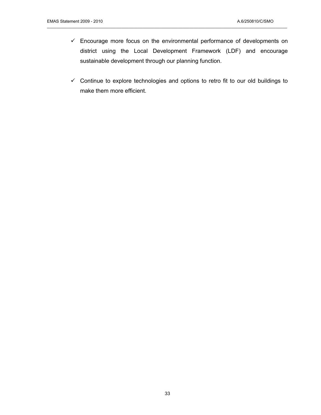$\checkmark$  Encourage more focus on the environmental performance of developments on district using the Local Development Framework (LDF) and encourage sustainable development through our planning function.

\_\_\_\_\_\_\_\_\_\_\_\_\_\_\_\_\_\_\_\_\_\_\_\_\_\_\_\_\_\_\_\_\_\_\_\_\_\_\_\_\_\_\_\_\_\_\_\_\_\_\_\_\_\_\_\_\_\_\_\_\_\_\_\_\_\_\_\_\_\_\_\_\_\_\_\_\_\_\_\_\_\_\_\_\_\_\_\_\_\_\_\_\_\_\_\_\_\_\_\_\_\_\_

 $\checkmark$  Continue to explore technologies and options to retro fit to our old buildings to make them more efficient.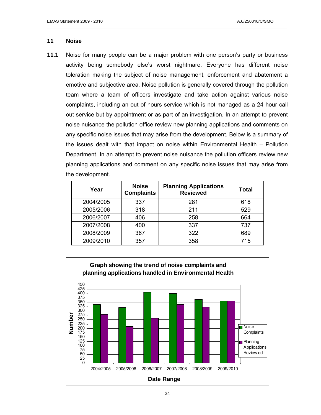#### **11 Noise**

**11.1** Noise for many people can be a major problem with one person's party or business activity being somebody else's worst nightmare. Everyone has different noise toleration making the subject of noise management, enforcement and abatement a emotive and subjective area. Noise pollution is generally covered through the pollution team where a team of officers investigate and take action against various noise complaints, including an out of hours service which is not managed as a 24 hour call out service but by appointment or as part of an investigation. In an attempt to prevent noise nuisance the pollution office review new planning applications and comments on any specific noise issues that may arise from the development. Below is a summary of the issues dealt with that impact on noise within Environmental Health – Pollution Department. In an attempt to prevent noise nuisance the pollution officers review new planning applications and comment on any specific noise issues that may arise from the development.

| Year      | <b>Noise</b><br><b>Complaints</b> | <b>Planning Applications</b><br><b>Reviewed</b> | <b>Total</b> |
|-----------|-----------------------------------|-------------------------------------------------|--------------|
| 2004/2005 | 337                               | 281                                             | 618          |
| 2005/2006 | 318                               | 211                                             | 529          |
| 2006/2007 | 406                               | 258                                             | 664          |
| 2007/2008 | 400                               | 337                                             | 737          |
| 2008/2009 | 367                               | 322                                             | 689          |
| 2009/2010 | 357                               | 358                                             | 715          |

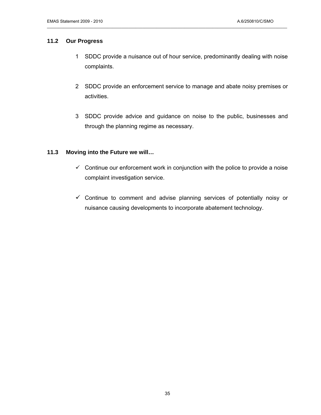#### **11.2 Our Progress**

1 SDDC provide a nuisance out of hour service, predominantly dealing with noise complaints.

\_\_\_\_\_\_\_\_\_\_\_\_\_\_\_\_\_\_\_\_\_\_\_\_\_\_\_\_\_\_\_\_\_\_\_\_\_\_\_\_\_\_\_\_\_\_\_\_\_\_\_\_\_\_\_\_\_\_\_\_\_\_\_\_\_\_\_\_\_\_\_\_\_\_\_\_\_\_\_\_\_\_\_\_\_\_\_\_\_\_\_\_\_\_\_\_\_\_\_\_\_\_\_

- 2 SDDC provide an enforcement service to manage and abate noisy premises or activities.
- 3 SDDC provide advice and guidance on noise to the public, businesses and through the planning regime as necessary.

#### **11.3 Moving into the Future we will…**

- $\checkmark$  Continue our enforcement work in conjunction with the police to provide a noise complaint investigation service.
- $\checkmark$  Continue to comment and advise planning services of potentially noisy or nuisance causing developments to incorporate abatement technology.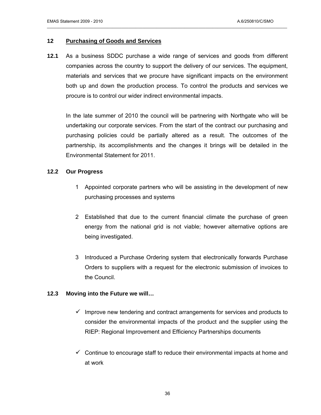#### **12 Purchasing of Goods and Services**

**12.1** As a business SDDC purchase a wide range of services and goods from different companies across the country to support the delivery of our services. The equipment, materials and services that we procure have significant impacts on the environment both up and down the production process. To control the products and services we procure is to control our wider indirect environmental impacts.

\_\_\_\_\_\_\_\_\_\_\_\_\_\_\_\_\_\_\_\_\_\_\_\_\_\_\_\_\_\_\_\_\_\_\_\_\_\_\_\_\_\_\_\_\_\_\_\_\_\_\_\_\_\_\_\_\_\_\_\_\_\_\_\_\_\_\_\_\_\_\_\_\_\_\_\_\_\_\_\_\_\_\_\_\_\_\_\_\_\_\_\_\_\_\_\_\_\_\_\_\_\_\_

In the late summer of 2010 the council will be partnering with Northgate who will be undertaking our corporate services. From the start of the contract our purchasing and purchasing policies could be partially altered as a result. The outcomes of the partnership, its accomplishments and the changes it brings will be detailed in the Environmental Statement for 2011.

#### **12.2 Our Progress**

- 1 Appointed corporate partners who will be assisting in the development of new purchasing processes and systems
- 2 Established that due to the current financial climate the purchase of green energy from the national grid is not viable; however alternative options are being investigated.
- 3 Introduced a Purchase Ordering system that electronically forwards Purchase Orders to suppliers with a request for the electronic submission of invoices to the Council.

#### **12.3 Moving into the Future we will…**

- $\checkmark$  Improve new tendering and contract arrangements for services and products to consider the environmental impacts of the product and the supplier using the RIEP: Regional Improvement and Efficiency Partnerships documents
- $\checkmark$  Continue to encourage staff to reduce their environmental impacts at home and at work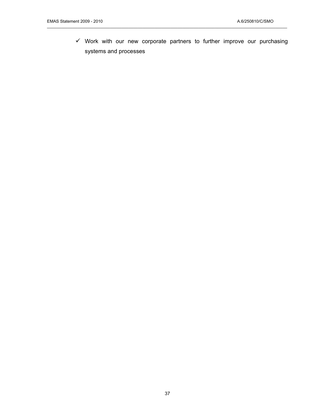$\checkmark$  Work with our new corporate partners to further improve our purchasing systems and processes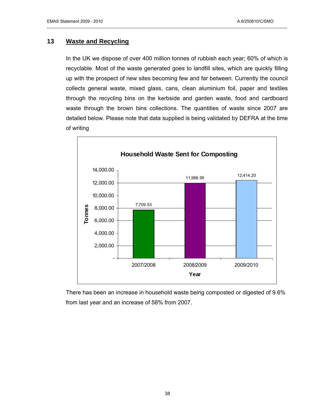#### **13 Waste and Recycling**

In the UK we dispose of over 400 million tonnes of rubbish each year; 60% of which is recyclable. Most of the waste generated goes to landfill sites, which are quickly filling up with the prospect of new sites becoming few and far between. Currently the council collects general waste, mixed glass, cans, clean aluminium foil, paper and textiles through the recycling bins on the kerbside and garden waste, food and cardboard waste through the brown bins collections. The quantities of waste since 2007 are detailed below. Please note that data supplied is being validated by DEFRA at the time of writing

\_\_\_\_\_\_\_\_\_\_\_\_\_\_\_\_\_\_\_\_\_\_\_\_\_\_\_\_\_\_\_\_\_\_\_\_\_\_\_\_\_\_\_\_\_\_\_\_\_\_\_\_\_\_\_\_\_\_\_\_\_\_\_\_\_\_\_\_\_\_\_\_\_\_\_\_\_\_\_\_\_\_\_\_\_\_\_\_\_\_\_\_\_\_\_\_\_\_\_\_\_\_\_



There has been an increase in household waste being composted or digested of 9.6% from last year and an increase of 58% from 2007.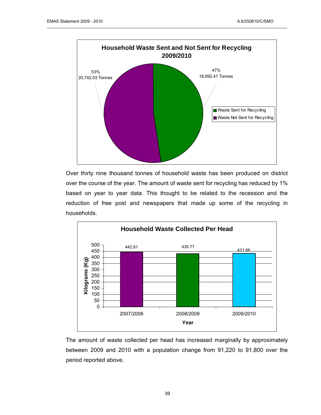

Over thirty nine thousand tonnes of household waste has been produced on district over the course of the year. The amount of waste sent for recycling has reduced by 1% based on year to year data. This thought to be related to the recession and the reduction of free post and newspapers that made up some of the recycling in households.



The amount of waste collected per head has increased marginally by approximately between 2009 and 2010 with a population change from 91,220 to 91,800 over the period reported above.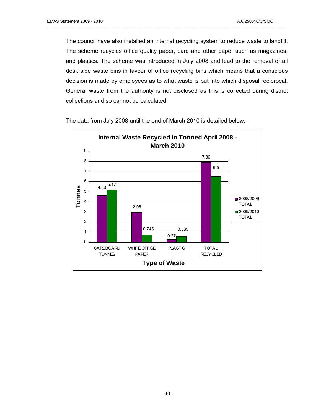The council have also installed an internal recycling system to reduce waste to landfill. The scheme recycles office quality paper, card and other paper such as magazines, and plastics. The scheme was introduced in July 2008 and lead to the removal of all desk side waste bins in favour of office recycling bins which means that a conscious decision is made by employees as to what waste is put into which disposal reciprocal. General waste from the authority is not disclosed as this is collected during district collections and so cannot be calculated.

\_\_\_\_\_\_\_\_\_\_\_\_\_\_\_\_\_\_\_\_\_\_\_\_\_\_\_\_\_\_\_\_\_\_\_\_\_\_\_\_\_\_\_\_\_\_\_\_\_\_\_\_\_\_\_\_\_\_\_\_\_\_\_\_\_\_\_\_\_\_\_\_\_\_\_\_\_\_\_\_\_\_\_\_\_\_\_\_\_\_\_\_\_\_\_\_\_\_\_\_\_\_\_



The data from July 2008 until the end of March 2010 is detailed below: -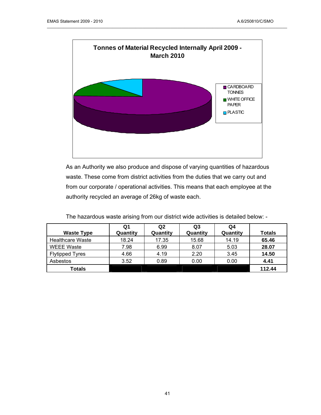

As an Authority we also produce and dispose of varying quantities of hazardous waste. These come from district activities from the duties that we carry out and from our corporate / operational activities. This means that each employee at the authority recycled an average of 26kg of waste each.

|                         | Q1       | Q2       | Q3       | Q4       |               |
|-------------------------|----------|----------|----------|----------|---------------|
| <b>Waste Type</b>       | Quantity | Quantity | Quantity | Quantity | <b>Totals</b> |
| <b>Healthcare Waste</b> | 18.24    | 17.35    | 15.68    | 14.19    | 65.46         |
| <b>WEEE Waste</b>       | 7.98     | 6.99     | 8.07     | 5.03     | 28.07         |
| <b>Flytipped Tyres</b>  | 4.66     | 4.19     | 2.20     | 3.45     | 14.50         |
| Asbestos                | 3.52     | 0.89     | 0.00     | 0.00     | 4.41          |
| Totals                  |          |          |          |          | 112.44        |

The hazardous waste arising from our district wide activities is detailed below: -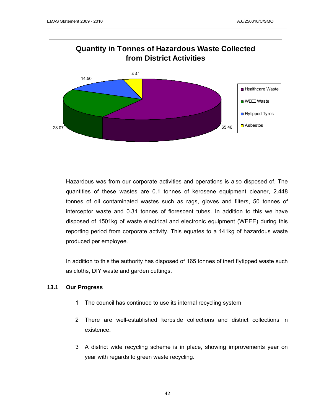

Hazardous was from our corporate activities and operations is also disposed of. The quantities of these wastes are 0.1 tonnes of kerosene equipment cleaner, 2.448 tonnes of oil contaminated wastes such as rags, gloves and filters, 50 tonnes of interceptor waste and 0.31 tonnes of florescent tubes. In addition to this we have disposed of 1501kg of waste electrical and electronic equipment (WEEE) during this reporting period from corporate activity. This equates to a 141kg of hazardous waste produced per employee.

In addition to this the authority has disposed of 165 tonnes of inert flytipped waste such as cloths, DIY waste and garden cuttings.

#### **13.1 Our Progress**

- 1 The council has continued to use its internal recycling system
- 2 There are well-established kerbside collections and district collections in existence.
- 3 A district wide recycling scheme is in place, showing improvements year on year with regards to green waste recycling.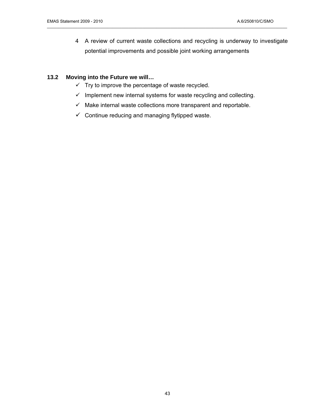4 A review of current waste collections and recycling is underway to investigate potential improvements and possible joint working arrangements

#### **13.2 Moving into the Future we will…**

- $\checkmark$  Try to improve the percentage of waste recycled.
- $\checkmark$  Implement new internal systems for waste recycling and collecting.

- $\checkmark$  Make internal waste collections more transparent and reportable.
- $\checkmark$  Continue reducing and managing flytipped waste.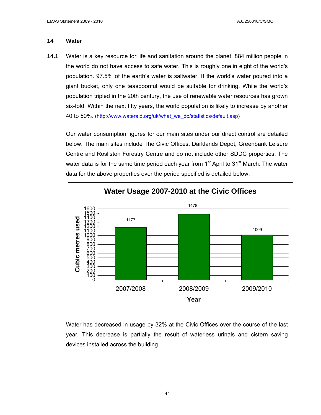#### **14 Water**

**14.1** Water is a key resource for life and sanitation around the planet. 884 million people in the world do not have access to safe water. This is roughly one in eight of the world's population. 97.5% of the earth's water is saltwater. If the world's water poured into a giant bucket, only one teaspoonful would be suitable for drinking. While the world's population tripled in the 20th century, the use of renewable water resources has grown six-fold. Within the next fifty years, the world population is likely to increase by another 40 to 50%. ([http://www.wateraid.org/uk/what\\_we\\_do/statistics/default.asp](http://www.wateraid.org/uk/what_we_do/statistics/default.asp))

\_\_\_\_\_\_\_\_\_\_\_\_\_\_\_\_\_\_\_\_\_\_\_\_\_\_\_\_\_\_\_\_\_\_\_\_\_\_\_\_\_\_\_\_\_\_\_\_\_\_\_\_\_\_\_\_\_\_\_\_\_\_\_\_\_\_\_\_\_\_\_\_\_\_\_\_\_\_\_\_\_\_\_\_\_\_\_\_\_\_\_\_\_\_\_\_\_\_\_\_\_\_\_

Our water consumption figures for our main sites under our direct control are detailed below. The main sites include The Civic Offices, Darklands Depot, Greenbank Leisure Centre and Rosliston Forestry Centre and do not include other SDDC properties. The water data is for the same time period each year from  $1<sup>st</sup>$  April to  $31<sup>st</sup>$  March. The water data for the above properties over the period specified is detailed below.



Water has decreased in usage by 32% at the Civic Offices over the course of the last year. This decrease is partially the result of waterless urinals and cistern saving devices installed across the building.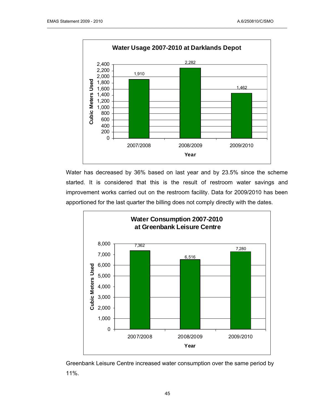

Water has decreased by 36% based on last year and by 23.5% since the scheme started. It is considered that this is the result of restroom water savings and improvement works carried out on the restroom facility. Data for 2009/2010 has been apportioned for the last quarter the billing does not comply directly with the dates.



Greenbank Leisure Centre increased water consumption over the same period by 11%.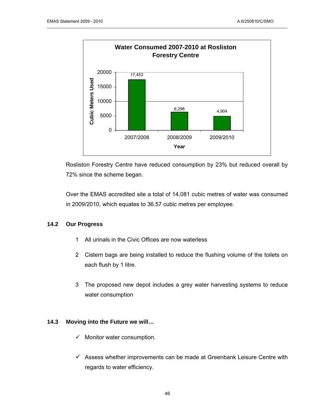

Rosliston Forestry Centre have reduced consumption by 23% but reduced overall by 72% since the scheme began.

Over the EMAS accredited site a total of 14,081 cubic metres of water was consumed in 2009/2010, which equates to 36.57 cubic metres per employee.

#### **14.2 Our Progress**

- 1 All urinals in the Civic Offices are now waterless
- 2 Cistern bags are being installed to reduce the flushing volume of the toilets on each flush by 1 litre.
- 3 The proposed new depot includes a grey water harvesting systems to reduce water consumption

#### **14.3 Moving into the Future we will…**

- $\checkmark$  Monitor water consumption.
- $\checkmark$  Assess whether improvements can be made at Greenbank Leisure Centre with regards to water efficiency.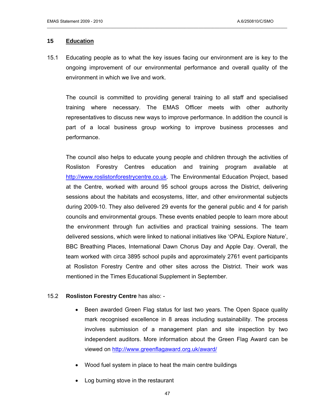#### **15 Education**

15.1 Educating people as to what the key issues facing our environment are is key to the ongoing improvement of our environmental performance and overall quality of the environment in which we live and work.

\_\_\_\_\_\_\_\_\_\_\_\_\_\_\_\_\_\_\_\_\_\_\_\_\_\_\_\_\_\_\_\_\_\_\_\_\_\_\_\_\_\_\_\_\_\_\_\_\_\_\_\_\_\_\_\_\_\_\_\_\_\_\_\_\_\_\_\_\_\_\_\_\_\_\_\_\_\_\_\_\_\_\_\_\_\_\_\_\_\_\_\_\_\_\_\_\_\_\_\_\_\_\_

The council is committed to providing general training to all staff and specialised training where necessary. The EMAS Officer meets with other authority representatives to discuss new ways to improve performance. In addition the council is part of a local business group working to improve business processes and performance.

The council also helps to educate young people and children through the activities of Rosliston Forestry Centres education and training program available at [http://www.roslistonforestrycentre.co.uk.](http://www.roslistonforestrycentre.co.uk/) The Environmental Education Project, based at the Centre, worked with around 95 school groups across the District, delivering sessions about the habitats and ecosystems, litter, and other environmental subjects during 2009-10. They also delivered 29 events for the general public and 4 for parish councils and environmental groups. These events enabled people to learn more about the environment through fun activities and practical training sessions. The team delivered sessions, which were linked to national initiatives like 'OPAL Explore Nature', BBC Breathing Places, International Dawn Chorus Day and Apple Day. Overall, the team worked with circa 3895 school pupils and approximately 2761 event participants at Rosliston Forestry Centre and other sites across the District. Their work was mentioned in the Times Educational Supplement in September.

#### 15.2 **Rosliston Forestry Centre** has also: -

- Been awarded Green Flag status for last two years. The Open Space quality mark recognised excellence in 8 areas including sustainability. The process involves submission of a management plan and site inspection by two independent auditors. More information about the Green Flag Award can be viewed on [http://www.greenflagaward.org.uk/award/](http://www.greenflagward.org.uk/award/)
- Wood fuel system in place to heat the main centre buildings
- Log burning stove in the restaurant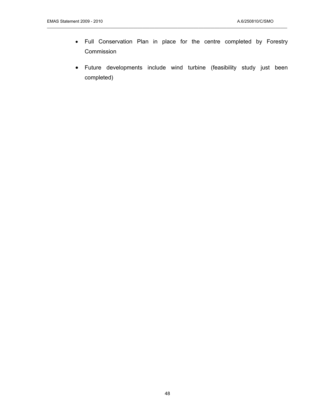• Full Conservation Plan in place for the centre completed by Forestry Commission

\_\_\_\_\_\_\_\_\_\_\_\_\_\_\_\_\_\_\_\_\_\_\_\_\_\_\_\_\_\_\_\_\_\_\_\_\_\_\_\_\_\_\_\_\_\_\_\_\_\_\_\_\_\_\_\_\_\_\_\_\_\_\_\_\_\_\_\_\_\_\_\_\_\_\_\_\_\_\_\_\_\_\_\_\_\_\_\_\_\_\_\_\_\_\_\_\_\_\_\_\_\_\_

• Future developments include wind turbine (feasibility study just been completed)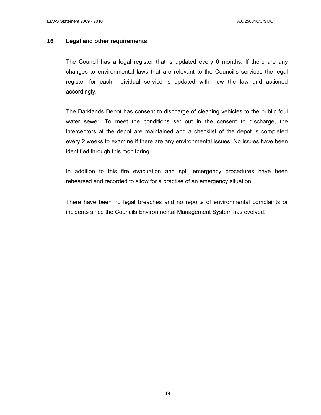#### **16 Legal and other requirements**

The Council has a legal register that is updated every 6 months. If there are any changes to environmental laws that are relevant to the Council's services the legal register for each individual service is updated with new the law and actioned accordingly.

\_\_\_\_\_\_\_\_\_\_\_\_\_\_\_\_\_\_\_\_\_\_\_\_\_\_\_\_\_\_\_\_\_\_\_\_\_\_\_\_\_\_\_\_\_\_\_\_\_\_\_\_\_\_\_\_\_\_\_\_\_\_\_\_\_\_\_\_\_\_\_\_\_\_\_\_\_\_\_\_\_\_\_\_\_\_\_\_\_\_\_\_\_\_\_\_\_\_\_\_\_\_\_

The Darklands Depot has consent to discharge of cleaning vehicles to the public foul water sewer. To meet the conditions set out in the consent to discharge, the interceptors at the depot are maintained and a checklist of the depot is completed every 2 weeks to examine if there are any environmental issues. No issues have been identified through this monitoring.

In addition to this fire evacuation and spill emergency procedures have been rehearsed and recorded to allow for a practise of an emergency situation.

There have been no legal breaches and no reports of environmental complaints or incidents since the Councils Environmental Management System has evolved.